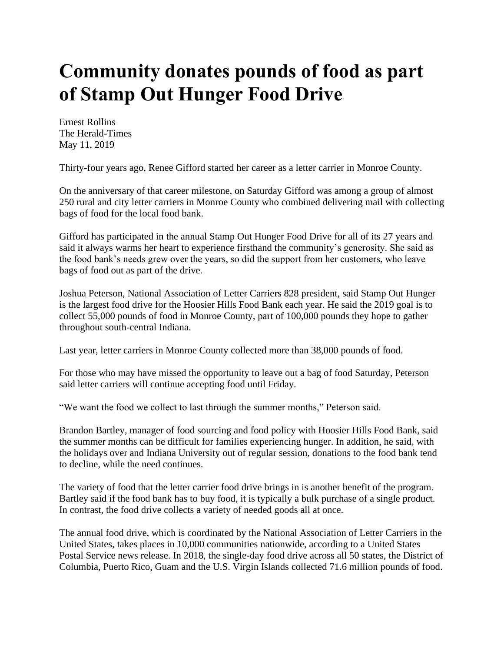## **Community donates pounds of food as part of Stamp Out Hunger Food Drive**

Ernest Rollins The Herald-Times May 11, 2019

Thirty-four years ago, Renee Gifford started her career as a letter carrier in Monroe County.

On the anniversary of that career milestone, on Saturday Gifford was among a group of almost 250 rural and city letter carriers in Monroe County who combined delivering mail with collecting bags of food for the local food bank.

Gifford has participated in the annual Stamp Out Hunger Food Drive for all of its 27 years and said it always warms her heart to experience firsthand the community's generosity. She said as the food bank's needs grew over the years, so did the support from her customers, who leave bags of food out as part of the drive.

Joshua Peterson, National Association of Letter Carriers 828 president, said Stamp Out Hunger is the largest food drive for the Hoosier Hills Food Bank each year. He said the 2019 goal is to collect 55,000 pounds of food in Monroe County, part of 100,000 pounds they hope to gather throughout south-central Indiana.

Last year, letter carriers in Monroe County collected more than 38,000 pounds of food.

For those who may have missed the opportunity to leave out a bag of food Saturday, Peterson said letter carriers will continue accepting food until Friday.

"We want the food we collect to last through the summer months," Peterson said.

Brandon Bartley, manager of food sourcing and food policy with Hoosier Hills Food Bank, said the summer months can be difficult for families experiencing hunger. In addition, he said, with the holidays over and Indiana University out of regular session, donations to the food bank tend to decline, while the need continues.

The variety of food that the letter carrier food drive brings in is another benefit of the program. Bartley said if the food bank has to buy food, it is typically a bulk purchase of a single product. In contrast, the food drive collects a variety of needed goods all at once.

The annual food drive, which is coordinated by the National Association of Letter Carriers in the United States, takes places in 10,000 communities nationwide, according to a United States Postal Service news release. In 2018, the single-day food drive across all 50 states, the District of Columbia, Puerto Rico, Guam and the U.S. Virgin Islands collected 71.6 million pounds of food.